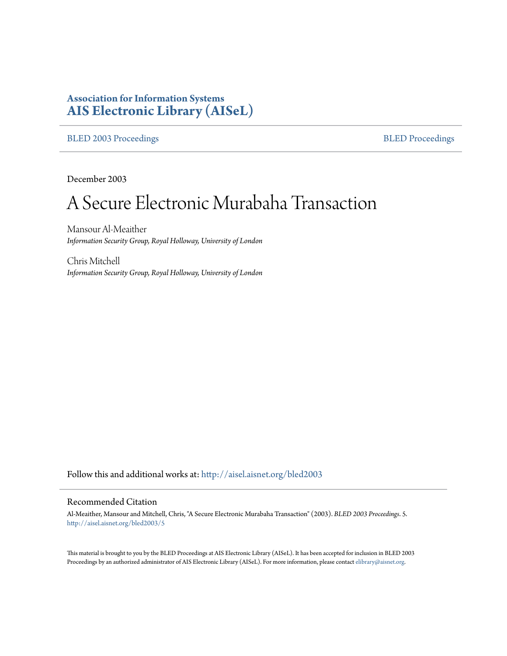# **Association for Information Systems [AIS Electronic Library \(AISeL\)](http://aisel.aisnet.org?utm_source=aisel.aisnet.org%2Fbled2003%2F5&utm_medium=PDF&utm_campaign=PDFCoverPages)**

## [BLED 2003 Proceedings](http://aisel.aisnet.org/bled2003?utm_source=aisel.aisnet.org%2Fbled2003%2F5&utm_medium=PDF&utm_campaign=PDFCoverPages) and the [BLED Proceedings](http://aisel.aisnet.org/bled?utm_source=aisel.aisnet.org%2Fbled2003%2F5&utm_medium=PDF&utm_campaign=PDFCoverPages) BLED Proceedings

December 2003

# A Secure Electronic Murabaha Transaction

Mansour Al-Meaither *Information Security Group, Royal Holloway, University of London*

Chris Mitchell *Information Security Group, Royal Holloway, University of London*

Follow this and additional works at: [http://aisel.aisnet.org/bled2003](http://aisel.aisnet.org/bled2003?utm_source=aisel.aisnet.org%2Fbled2003%2F5&utm_medium=PDF&utm_campaign=PDFCoverPages)

#### Recommended Citation

Al-Meaither, Mansour and Mitchell, Chris, "A Secure Electronic Murabaha Transaction" (2003). *BLED 2003 Proceedings*. 5. [http://aisel.aisnet.org/bled2003/5](http://aisel.aisnet.org/bled2003/5?utm_source=aisel.aisnet.org%2Fbled2003%2F5&utm_medium=PDF&utm_campaign=PDFCoverPages)

This material is brought to you by the BLED Proceedings at AIS Electronic Library (AISeL). It has been accepted for inclusion in BLED 2003 Proceedings by an authorized administrator of AIS Electronic Library (AISeL). For more information, please contact [elibrary@aisnet.org](mailto:elibrary@aisnet.org%3E).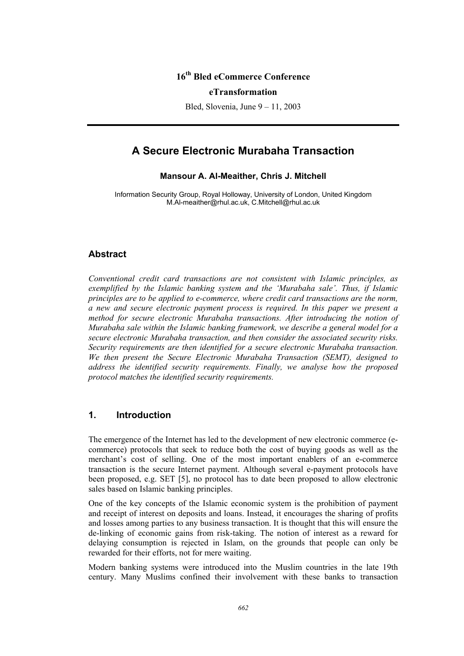# **16th Bled eCommerce Conference**

#### **eTransformation**

Bled, Slovenia, June 9 – 11, 2003

# **A Secure Electronic Murabaha Transaction**

#### **Mansour A. Al-Meaither, Chris J. Mitchell**

Information Security Group, Royal Holloway, University of London, United Kingdom M.Al-meaither@rhul.ac.uk, C.Mitchell@rhul.ac.uk

#### **Abstract**

*Conventional credit card transactions are not consistent with Islamic principles, as exemplified by the Islamic banking system and the 'Murabaha sale'. Thus, if Islamic principles are to be applied to e-commerce, where credit card transactions are the norm, a new and secure electronic payment process is required. In this paper we present a method for secure electronic Murabaha transactions. After introducing the notion of Murabaha sale within the Islamic banking framework, we describe a general model for a secure electronic Murabaha transaction, and then consider the associated security risks. Security requirements are then identified for a secure electronic Murabaha transaction. We then present the Secure Electronic Murabaha Transaction (SEMT), designed to address the identified security requirements. Finally, we analyse how the proposed protocol matches the identified security requirements.* 

# **1. Introduction**

The emergence of the Internet has led to the development of new electronic commerce (ecommerce) protocols that seek to reduce both the cost of buying goods as well as the merchant's cost of selling. One of the most important enablers of an e-commerce transaction is the secure Internet payment. Although several e-payment protocols have been proposed, e.g. SET [5], no protocol has to date been proposed to allow electronic sales based on Islamic banking principles.

One of the key concepts of the Islamic economic system is the prohibition of payment and receipt of interest on deposits and loans. Instead, it encourages the sharing of profits and losses among parties to any business transaction. It is thought that this will ensure the de-linking of economic gains from risk-taking. The notion of interest as a reward for delaying consumption is rejected in Islam, on the grounds that people can only be rewarded for their efforts, not for mere waiting.

Modern banking systems were introduced into the Muslim countries in the late 19th century. Many Muslims confined their involvement with these banks to transaction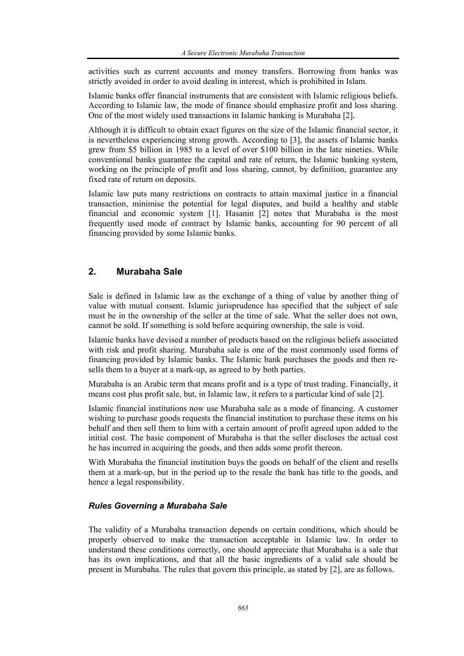activities such as current accounts and money transfers. Borrowing from banks was strictly avoided in order to avoid dealing in interest, which is prohibited in Islam.

Islamic banks offer financial instruments that are consistent with Islamic religious beliefs. According to Islamic law, the mode of finance should emphasize profit and loss sharing. One of the most widely used transactions in Islamic banking is Murabaha [2].

Although it is difficult to obtain exact figures on the size of the Islamic financial sector, it is nevertheless experiencing strong growth. According to [3], the assets of Islamic banks grew from \$5 billion in 1985 to a level of over \$100 billion in the late nineties. While conventional banks guarantee the capital and rate of return, the Islamic banking system, working on the principle of profit and loss sharing, cannot, by definition, guarantee any fixed rate of return on deposits.

Islamic law puts many restrictions on contracts to attain maximal justice in a financial transaction, minimise the potential for legal disputes, and build a healthy and stable financial and economic system [1]. Hasanin [2] notes that Murabaha is the most frequently used mode of contract by Islamic banks, accounting for 90 percent of all financing provided by some Islamic banks.

# **2. Murabaha Sale**

Sale is defined in Islamic law as the exchange of a thing of value by another thing of value with mutual consent. Islamic jurisprudence has specified that the subject of sale must be in the ownership of the seller at the time of sale. What the seller does not own, cannot be sold. If something is sold before acquiring ownership, the sale is void.

Islamic banks have devised a number of products based on the religious beliefs associated with risk and profit sharing. Murabaha sale is one of the most commonly used forms of financing provided by Islamic banks. The Islamic bank purchases the goods and then resells them to a buyer at a mark-up, as agreed to by both parties.

Murabaha is an Arabic term that means profit and is a type of trust trading. Financially, it means cost plus profit sale, but, in Islamic law, it refers to a particular kind of sale [2].

Islamic financial institutions now use Murabaha sale as a mode of financing. A customer wishing to purchase goods requests the financial institution to purchase these items on his behalf and then sell them to him with a certain amount of profit agreed upon added to the initial cost. The basic component of Murabaha is that the seller discloses the actual cost he has incurred in acquiring the goods, and then adds some profit thereon.

With Murabaha the financial institution buys the goods on behalf of the client and resells them at a mark-up, but in the period up to the resale the bank has title to the goods, and hence a legal responsibility.

#### *Rules Governing a Murabaha Sale*

The validity of a Murabaha transaction depends on certain conditions, which should be properly observed to make the transaction acceptable in Islamic law. In order to understand these conditions correctly, one should appreciate that Murabaha is a sale that has its own implications, and that all the basic ingredients of a valid sale should be present in Murabaha. The rules that govern this principle, as stated by [2], are as follows.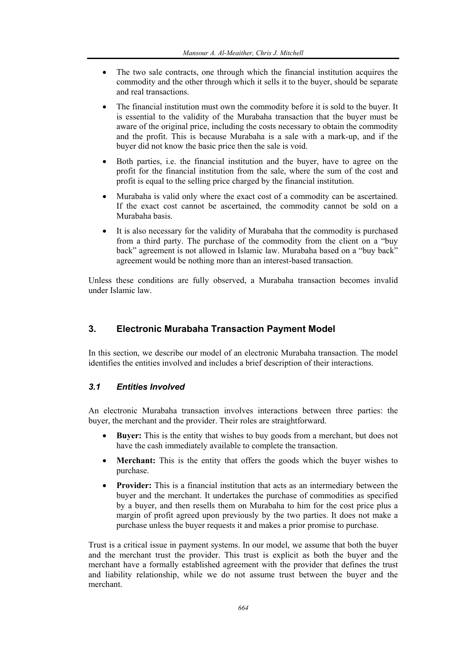- The two sale contracts, one through which the financial institution acquires the commodity and the other through which it sells it to the buyer, should be separate and real transactions.
- The financial institution must own the commodity before it is sold to the buyer. It is essential to the validity of the Murabaha transaction that the buyer must be aware of the original price, including the costs necessary to obtain the commodity and the profit. This is because Murabaha is a sale with a mark-up, and if the buyer did not know the basic price then the sale is void.
- Both parties, i.e. the financial institution and the buyer, have to agree on the profit for the financial institution from the sale, where the sum of the cost and profit is equal to the selling price charged by the financial institution.
- Murabaha is valid only where the exact cost of a commodity can be ascertained. If the exact cost cannot be ascertained, the commodity cannot be sold on a Murabaha basis.
- It is also necessary for the validity of Murabaha that the commodity is purchased from a third party. The purchase of the commodity from the client on a "buy back" agreement is not allowed in Islamic law. Murabaha based on a "buy back" agreement would be nothing more than an interest-based transaction.

Unless these conditions are fully observed, a Murabaha transaction becomes invalid under Islamic law.

# **3. Electronic Murabaha Transaction Payment Model**

In this section, we describe our model of an electronic Murabaha transaction. The model identifies the entities involved and includes a brief description of their interactions.

#### *3.1 Entities Involved*

An electronic Murabaha transaction involves interactions between three parties: the buyer, the merchant and the provider. Their roles are straightforward.

- **Buyer:** This is the entity that wishes to buy goods from a merchant, but does not have the cash immediately available to complete the transaction.
- **Merchant:** This is the entity that offers the goods which the buyer wishes to purchase.
- **Provider:** This is a financial institution that acts as an intermediary between the buyer and the merchant. It undertakes the purchase of commodities as specified by a buyer, and then resells them on Murabaha to him for the cost price plus a margin of profit agreed upon previously by the two parties. It does not make a purchase unless the buyer requests it and makes a prior promise to purchase.

Trust is a critical issue in payment systems. In our model, we assume that both the buyer and the merchant trust the provider. This trust is explicit as both the buyer and the merchant have a formally established agreement with the provider that defines the trust and liability relationship, while we do not assume trust between the buyer and the merchant.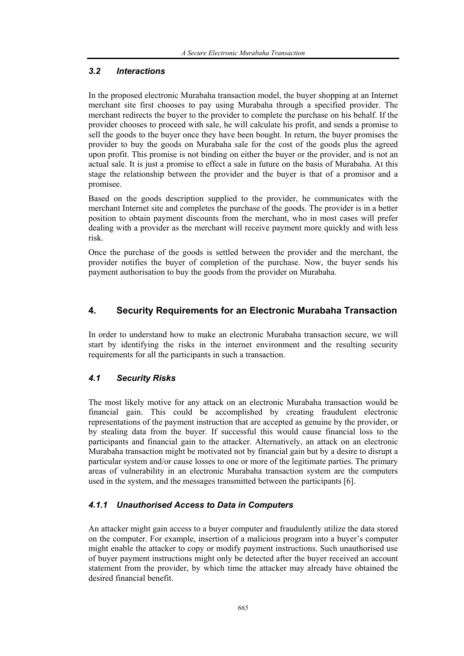## *3.2 Interactions*

In the proposed electronic Murabaha transaction model, the buyer shopping at an Internet merchant site first chooses to pay using Murabaha through a specified provider. The merchant redirects the buyer to the provider to complete the purchase on his behalf. If the provider chooses to proceed with sale, he will calculate his profit, and sends a promise to sell the goods to the buyer once they have been bought. In return, the buyer promises the provider to buy the goods on Murabaha sale for the cost of the goods plus the agreed upon profit. This promise is not binding on either the buyer or the provider, and is not an actual sale. It is just a promise to effect a sale in future on the basis of Murabaha. At this stage the relationship between the provider and the buyer is that of a promisor and a promisee.

Based on the goods description supplied to the provider, he communicates with the merchant Internet site and completes the purchase of the goods. The provider is in a better position to obtain payment discounts from the merchant, who in most cases will prefer dealing with a provider as the merchant will receive payment more quickly and with less risk.

Once the purchase of the goods is settled between the provider and the merchant, the provider notifies the buyer of completion of the purchase. Now, the buyer sends his payment authorisation to buy the goods from the provider on Murabaha.

# **4. Security Requirements for an Electronic Murabaha Transaction**

In order to understand how to make an electronic Murabaha transaction secure, we will start by identifying the risks in the internet environment and the resulting security requirements for all the participants in such a transaction.

# *4.1 Security Risks*

The most likely motive for any attack on an electronic Murabaha transaction would be financial gain. This could be accomplished by creating fraudulent electronic representations of the payment instruction that are accepted as genuine by the provider, or by stealing data from the buyer. If successful this would cause financial loss to the participants and financial gain to the attacker. Alternatively, an attack on an electronic Murabaha transaction might be motivated not by financial gain but by a desire to disrupt a particular system and/or cause losses to one or more of the legitimate parties. The primary areas of vulnerability in an electronic Murabaha transaction system are the computers used in the system, and the messages transmitted between the participants [6].

#### *4.1.1 Unauthorised Access to Data in Computers*

An attacker might gain access to a buyer computer and fraudulently utilize the data stored on the computer. For example, insertion of a malicious program into a buyer's computer might enable the attacker to copy or modify payment instructions. Such unauthorised use of buyer payment instructions might only be detected after the buyer received an account statement from the provider, by which time the attacker may already have obtained the desired financial benefit.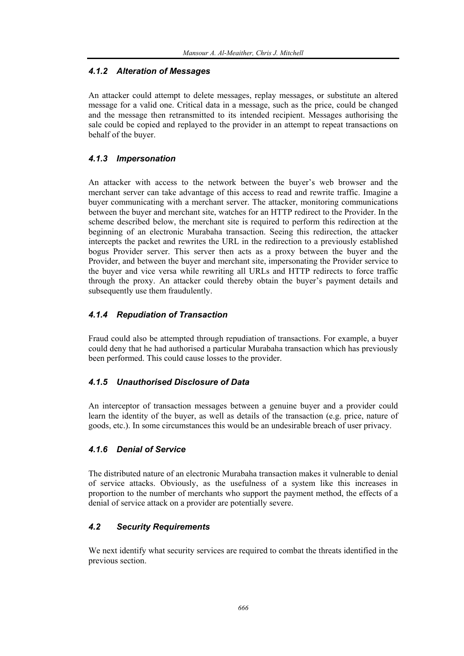## *4.1.2 Alteration of Messages*

An attacker could attempt to delete messages, replay messages, or substitute an altered message for a valid one. Critical data in a message, such as the price, could be changed and the message then retransmitted to its intended recipient. Messages authorising the sale could be copied and replayed to the provider in an attempt to repeat transactions on behalf of the buyer.

# *4.1.3 Impersonation*

An attacker with access to the network between the buyer's web browser and the merchant server can take advantage of this access to read and rewrite traffic. Imagine a buyer communicating with a merchant server. The attacker, monitoring communications between the buyer and merchant site, watches for an HTTP redirect to the Provider. In the scheme described below, the merchant site is required to perform this redirection at the beginning of an electronic Murabaha transaction. Seeing this redirection, the attacker intercepts the packet and rewrites the URL in the redirection to a previously established bogus Provider server. This server then acts as a proxy between the buyer and the Provider, and between the buyer and merchant site, impersonating the Provider service to the buyer and vice versa while rewriting all URLs and HTTP redirects to force traffic through the proxy. An attacker could thereby obtain the buyer's payment details and subsequently use them fraudulently.

## *4.1.4 Repudiation of Transaction*

Fraud could also be attempted through repudiation of transactions. For example, a buyer could deny that he had authorised a particular Murabaha transaction which has previously been performed. This could cause losses to the provider.

#### *4.1.5 Unauthorised Disclosure of Data*

An interceptor of transaction messages between a genuine buyer and a provider could learn the identity of the buyer, as well as details of the transaction (e.g. price, nature of goods, etc.). In some circumstances this would be an undesirable breach of user privacy.

#### *4.1.6 Denial of Service*

The distributed nature of an electronic Murabaha transaction makes it vulnerable to denial of service attacks. Obviously, as the usefulness of a system like this increases in proportion to the number of merchants who support the payment method, the effects of a denial of service attack on a provider are potentially severe.

#### *4.2 Security Requirements*

We next identify what security services are required to combat the threats identified in the previous section.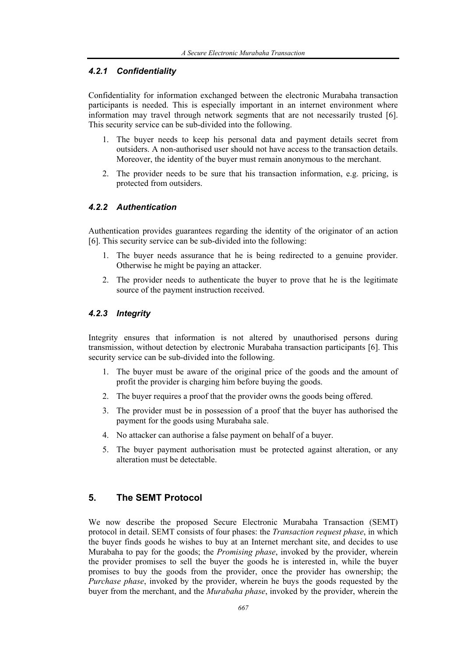#### *4.2.1 Confidentiality*

Confidentiality for information exchanged between the electronic Murabaha transaction participants is needed. This is especially important in an internet environment where information may travel through network segments that are not necessarily trusted [6]. This security service can be sub-divided into the following.

- 1. The buyer needs to keep his personal data and payment details secret from outsiders. A non-authorised user should not have access to the transaction details. Moreover, the identity of the buyer must remain anonymous to the merchant.
- 2. The provider needs to be sure that his transaction information, e.g. pricing, is protected from outsiders.

#### *4.2.2 Authentication*

Authentication provides guarantees regarding the identity of the originator of an action [6]. This security service can be sub-divided into the following:

- 1. The buyer needs assurance that he is being redirected to a genuine provider. Otherwise he might be paying an attacker.
- 2. The provider needs to authenticate the buyer to prove that he is the legitimate source of the payment instruction received.

#### *4.2.3 Integrity*

Integrity ensures that information is not altered by unauthorised persons during transmission, without detection by electronic Murabaha transaction participants [6]. This security service can be sub-divided into the following.

- 1. The buyer must be aware of the original price of the goods and the amount of profit the provider is charging him before buying the goods.
- 2. The buyer requires a proof that the provider owns the goods being offered.
- 3. The provider must be in possession of a proof that the buyer has authorised the payment for the goods using Murabaha sale.
- 4. No attacker can authorise a false payment on behalf of a buyer.
- 5. The buyer payment authorisation must be protected against alteration, or any alteration must be detectable.

# **5. The SEMT Protocol**

We now describe the proposed Secure Electronic Murabaha Transaction (SEMT) protocol in detail. SEMT consists of four phases: the *Transaction request phase*, in which the buyer finds goods he wishes to buy at an Internet merchant site, and decides to use Murabaha to pay for the goods; the *Promising phase*, invoked by the provider, wherein the provider promises to sell the buyer the goods he is interested in, while the buyer promises to buy the goods from the provider, once the provider has ownership; the *Purchase phase*, invoked by the provider, wherein he buys the goods requested by the buyer from the merchant, and the *Murabaha phase*, invoked by the provider, wherein the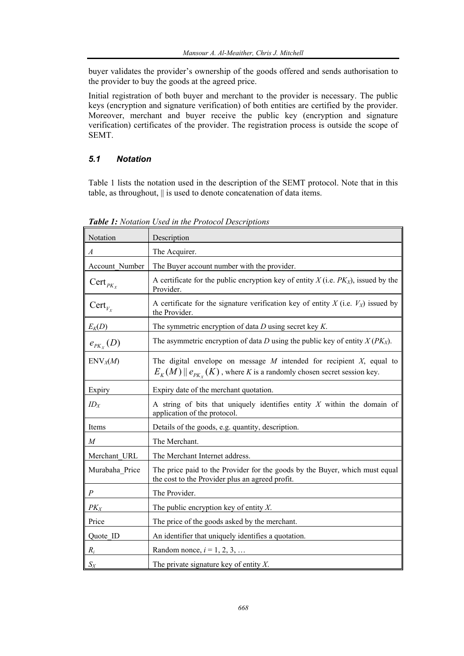buyer validates the provider's ownership of the goods offered and sends authorisation to the provider to buy the goods at the agreed price.

Initial registration of both buyer and merchant to the provider is necessary. The public keys (encryption and signature verification) of both entities are certified by the provider. Moreover, merchant and buyer receive the public key (encryption and signature verification) certificates of the provider. The registration process is outside the scope of SEMT.

# *5.1 Notation*

Table 1 lists the notation used in the description of the SEMT protocol. Note that in this table, as throughout, || is used to denote concatenation of data items.

| Notation            | Description                                                                                                                                                        |
|---------------------|--------------------------------------------------------------------------------------------------------------------------------------------------------------------|
| $\boldsymbol{A}$    | The Acquirer.                                                                                                                                                      |
| Account Number      | The Buyer account number with the provider.                                                                                                                        |
| $Cert_{PK_X}$       | A certificate for the public encryption key of entity $X$ (i.e. $PKX$ ), issued by the<br>Provider.                                                                |
| $\text{Cert}_{V_X}$ | A certificate for the signature verification key of entity $X$ (i.e. $V_X$ ) issued by<br>the Provider.                                                            |
| $E_K(D)$            | The symmetric encryption of data $D$ using secret key $K$ .                                                                                                        |
| $e_{p_{K_X}}(D)$    | The asymmetric encryption of data D using the public key of entity $X(PK_X)$ .                                                                                     |
| $\text{ENV}_X(M)$   | The digital envelope on message $M$ intended for recipient $X$ , equal to<br>$E_K(M)$ $\parallel$ $e_{PK_x}(K)$ , where K is a randomly chosen secret session key. |
| Expiry              | Expiry date of the merchant quotation.                                                                                                                             |
| $ID_X$              | A string of bits that uniquely identifies entity $X$ within the domain of<br>application of the protocol.                                                          |
| Items               | Details of the goods, e.g. quantity, description.                                                                                                                  |
| $\cal M$            | The Merchant.                                                                                                                                                      |
| Merchant URL        | The Merchant Internet address.                                                                                                                                     |
| Murabaha Price      | The price paid to the Provider for the goods by the Buyer, which must equal<br>the cost to the Provider plus an agreed profit.                                     |
| $\cal P$            | The Provider.                                                                                                                                                      |
| $PK_X$              | The public encryption key of entity $X$ .                                                                                                                          |
| Price               | The price of the goods asked by the merchant.                                                                                                                      |
| Quote ID            | An identifier that uniquely identifies a quotation.                                                                                                                |
| $R_i$               | Random nonce, $i = 1, 2, 3, $                                                                                                                                      |
| $S_X$               | The private signature key of entity $X$ .                                                                                                                          |

*Table 1: Notation Used in the Protocol Descriptions*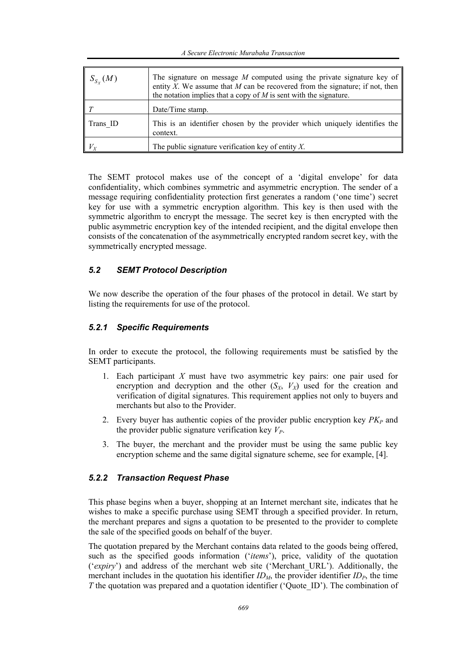| $S_{S_X}(M)$ | The signature on message $M$ computed using the private signature key of<br>entity X. We assume that $M$ can be recovered from the signature; if not, then<br>the notation implies that a copy of $M$ is sent with the signature. |
|--------------|-----------------------------------------------------------------------------------------------------------------------------------------------------------------------------------------------------------------------------------|
|              | Date/Time stamp.                                                                                                                                                                                                                  |
| Trans ID     | This is an identifier chosen by the provider which uniquely identifies the<br>context.                                                                                                                                            |
| $ V_X $      | The public signature verification key of entity $X$ .                                                                                                                                                                             |

The SEMT protocol makes use of the concept of a 'digital envelope' for data confidentiality, which combines symmetric and asymmetric encryption. The sender of a message requiring confidentiality protection first generates a random ('one time') secret key for use with a symmetric encryption algorithm. This key is then used with the symmetric algorithm to encrypt the message. The secret key is then encrypted with the public asymmetric encryption key of the intended recipient, and the digital envelope then consists of the concatenation of the asymmetrically encrypted random secret key, with the symmetrically encrypted message.

#### *5.2 SEMT Protocol Description*

We now describe the operation of the four phases of the protocol in detail. We start by listing the requirements for use of the protocol.

### *5.2.1 Specific Requirements*

In order to execute the protocol, the following requirements must be satisfied by the SEMT participants.

- 1. Each participant *X* must have two asymmetric key pairs: one pair used for encryption and decryption and the other  $(S_X, V_X)$  used for the creation and verification of digital signatures. This requirement applies not only to buyers and merchants but also to the Provider.
- 2. Every buyer has authentic copies of the provider public encryption key  $PK<sub>P</sub>$  and the provider public signature verification key  $V_{P}$ .
- 3. The buyer, the merchant and the provider must be using the same public key encryption scheme and the same digital signature scheme, see for example, [4].

#### *5.2.2 Transaction Request Phase*

This phase begins when a buyer, shopping at an Internet merchant site, indicates that he wishes to make a specific purchase using SEMT through a specified provider. In return, the merchant prepares and signs a quotation to be presented to the provider to complete the sale of the specified goods on behalf of the buyer.

The quotation prepared by the Merchant contains data related to the goods being offered, such as the specified goods information ('*items*'), price, validity of the quotation ('*expiry*') and address of the merchant web site ('Merchant\_URL'). Additionally, the merchant includes in the quotation his identifier  $ID_M$ , the provider identifier  $ID_P$ , the time *T* the quotation was prepared and a quotation identifier ('Ouote ID'). The combination of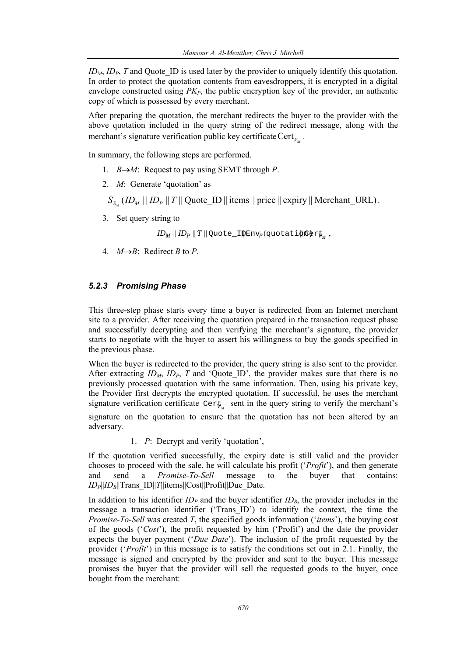$ID_M$ ,  $ID_P$ ,  $T$  and Quote ID is used later by the provider to uniquely identify this quotation. In order to protect the quotation contents from eavesdroppers, it is encrypted in a digital envelope constructed using  $PK<sub>P</sub>$ , the public encryption key of the provider, an authentic copy of which is possessed by every merchant.

After preparing the quotation, the merchant redirects the buyer to the provider with the above quotation included in the query string of the redirect message, along with the merchant's signature verification public key certificate  $Cert_V$ .

In summary, the following steps are performed.

- 1. *B*→*M*: Request to pay using SEMT through *P*.
- 2. *M*: Generate 'quotation' as
	- $S_{S_{\alpha}}(ID_{M} || ID_{P} || T || QuoteID ||$  items  $||$  price  $||$  expiry  $||$  Merchant\_URL) .
- 3. Set query string to

 $ID_M \parallel ID_P \parallel T \parallel$  Quote\_I $\uparrow$ Env<sub>p</sub> (quotati $\uparrow$ n $\uparrow$ ) ,

4.  $M \rightarrow B$ : Redirect *B* to *P*.

#### *5.2.3 Promising Phase*

This three-step phase starts every time a buyer is redirected from an Internet merchant site to a provider. After receiving the quotation prepared in the transaction request phase and successfully decrypting and then verifying the merchant's signature, the provider starts to negotiate with the buyer to assert his willingness to buy the goods specified in the previous phase.

When the buyer is redirected to the provider, the query string is also sent to the provider. After extracting  $ID_M$ ,  $ID_P$ ,  $T$  and 'Quote ID', the provider makes sure that there is no previously processed quotation with the same information. Then, using his private key, the Provider first decrypts the encrypted quotation. If successful, he uses the merchant signature verification certificate  $Cer\psi$  sent in the query string to verify the merchant's signature on the quotation to ensure that the quotation has not been altered by an adversary.

1. *P*: Decrypt and verify 'quotation',

If the quotation verified successfully, the expiry date is still valid and the provider chooses to proceed with the sale, he will calculate his profit ('*Profit*'), and then generate and send a *Promise-To-Sell* message to the buyer that contains:  $ID_P||ID_B||Trans$   $ID||T||$ items $||Cost||Profit||Due$  Date.

In addition to his identifier  $ID<sub>P</sub>$  and the buyer identifier  $ID<sub>B</sub>$ , the provider includes in the message a transaction identifier ('Trans\_ID') to identify the context, the time the *Promise-To-Sell* was created *T*, the specified goods information ('*items*'), the buying cost of the goods ('*Cost*'), the profit requested by him ('Profit') and the date the provider expects the buyer payment ('*Due Date*'). The inclusion of the profit requested by the provider ('*Profit*') in this message is to satisfy the conditions set out in 2.1. Finally, the message is signed and encrypted by the provider and sent to the buyer. This message promises the buyer that the provider will sell the requested goods to the buyer, once bought from the merchant: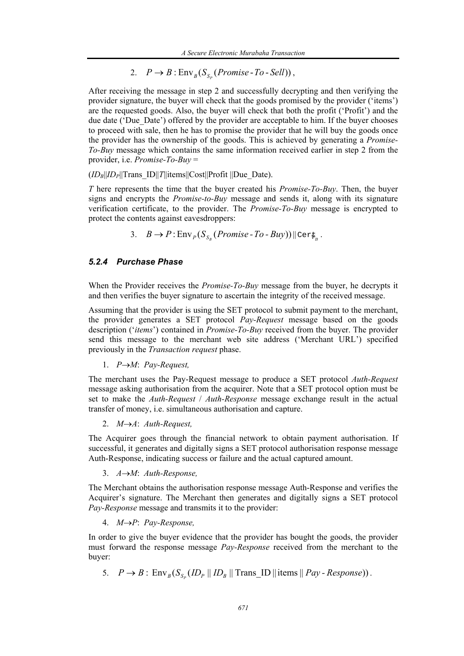2.  $P \rightarrow B : \text{Env}_{B}(S_{S_{n}}(Promise - To - Sell)),$ 

After receiving the message in step 2 and successfully decrypting and then verifying the provider signature, the buyer will check that the goods promised by the provider ('items') are the requested goods. Also, the buyer will check that both the profit ('Profit') and the due date ('Due\_Date') offered by the provider are acceptable to him. If the buyer chooses to proceed with sale, then he has to promise the provider that he will buy the goods once the provider has the ownership of the goods. This is achieved by generating a *Promise-To-Buy* message which contains the same information received earlier in step 2 from the provider, i.e. *Promise-To-Buy* =

 $(ID_B||ID_P||Trans ID||T||items||Cost||Profit||Due Date).$ 

*T* here represents the time that the buyer created his *Promise-To-Buy*. Then, the buyer signs and encrypts the *Promise-to-Buy* message and sends it, along with its signature verification certificate, to the provider. The *Promise-To-Buy* message is encrypted to protect the contents against eavesdroppers:

3.  $B \to P : \text{Env}_p(S_{S_n}(Promise - To - Buy)) \|\text{Cer}_{\mathbb{F}_p}$ .

#### *5.2.4 Purchase Phase*

When the Provider receives the *Promise-To-Buy* message from the buyer, he decrypts it and then verifies the buyer signature to ascertain the integrity of the received message.

Assuming that the provider is using the SET protocol to submit payment to the merchant, the provider generates a SET protocol *Pay-Request* message based on the goods description ('*items*') contained in *Promise-To-Buy* received from the buyer. The provider send this message to the merchant web site address ('Merchant URL') specified previously in the *Transaction request* phase.

1. *P*→*M*: *Pay-Request,*

The merchant uses the Pay-Request message to produce a SET protocol *Auth-Request* message asking authorisation from the acquirer. Note that a SET protocol option must be set to make the *Auth-Request* / *Auth-Response* message exchange result in the actual transfer of money, i.e. simultaneous authorisation and capture.

2. *M*→*A*: *Auth-Request,*

The Acquirer goes through the financial network to obtain payment authorisation. If successful, it generates and digitally signs a SET protocol authorisation response message Auth-Response, indicating success or failure and the actual captured amount.

3. *A*→*M*: *Auth-Response,*

The Merchant obtains the authorisation response message Auth-Response and verifies the Acquirer's signature. The Merchant then generates and digitally signs a SET protocol *Pay-Response* message and transmits it to the provider:

4. *M*→*P*: *Pay-Response,*

In order to give the buyer evidence that the provider has bought the goods, the provider must forward the response message *Pay-Response* received from the merchant to the buyer:

5.  $P \rightarrow B$ :  $\text{Env}_B(S_{S_n}(ID_p || ID_B || TransID || items || Pay - Response)).$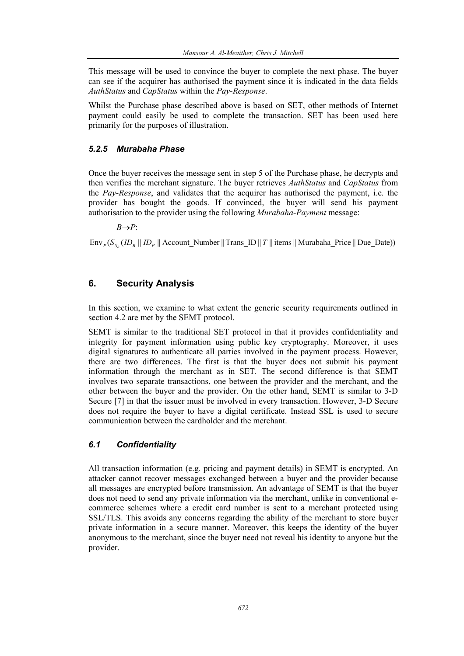This message will be used to convince the buyer to complete the next phase. The buyer can see if the acquirer has authorised the payment since it is indicated in the data fields *AuthStatus* and *CapStatus* within the *Pay-Response*.

Whilst the Purchase phase described above is based on SET, other methods of Internet payment could easily be used to complete the transaction. SET has been used here primarily for the purposes of illustration.

#### *5.2.5 Murabaha Phase*

Once the buyer receives the message sent in step 5 of the Purchase phase, he decrypts and then verifies the merchant signature. The buyer retrieves *AuthStatus* and *CapStatus* from the *Pay-Response*, and validates that the acquirer has authorised the payment, i.e. the provider has bought the goods. If convinced, the buyer will send his payment authorisation to the provider using the following *Murabaha-Payment* message:

*B*→*P*:

 $\text{Env}_P(S_{S_R} (ID_B || ID_P || \text{Account\_Number} || \text{Trans\_ID} || T || \text{ items } || \text{ Murabaha\_Price} || \text{Due\_Date})$ 

## **6. Security Analysis**

In this section, we examine to what extent the generic security requirements outlined in section 4.2 are met by the SEMT protocol.

SEMT is similar to the traditional SET protocol in that it provides confidentiality and integrity for payment information using public key cryptography. Moreover, it uses digital signatures to authenticate all parties involved in the payment process. However, there are two differences. The first is that the buyer does not submit his payment information through the merchant as in SET. The second difference is that SEMT involves two separate transactions, one between the provider and the merchant, and the other between the buyer and the provider. On the other hand, SEMT is similar to 3-D Secure [7] in that the issuer must be involved in every transaction. However, 3-D Secure does not require the buyer to have a digital certificate. Instead SSL is used to secure communication between the cardholder and the merchant.

#### *6.1 Confidentiality*

All transaction information (e.g. pricing and payment details) in SEMT is encrypted. An attacker cannot recover messages exchanged between a buyer and the provider because all messages are encrypted before transmission. An advantage of SEMT is that the buyer does not need to send any private information via the merchant, unlike in conventional ecommerce schemes where a credit card number is sent to a merchant protected using SSL/TLS. This avoids any concerns regarding the ability of the merchant to store buyer private information in a secure manner. Moreover, this keeps the identity of the buyer anonymous to the merchant, since the buyer need not reveal his identity to anyone but the provider.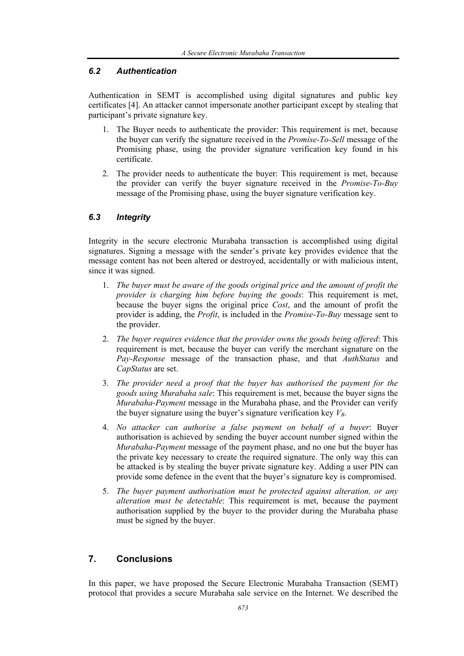#### *6.2 Authentication*

Authentication in SEMT is accomplished using digital signatures and public key certificates [4]. An attacker cannot impersonate another participant except by stealing that participant's private signature key.

- 1. The Buyer needs to authenticate the provider: This requirement is met, because the buyer can verify the signature received in the *Promise-To-Sell* message of the Promising phase, using the provider signature verification key found in his certificate.
- 2. The provider needs to authenticate the buyer: This requirement is met, because the provider can verify the buyer signature received in the *Promise-To-Buy* message of the Promising phase, using the buyer signature verification key.

#### *6.3 Integrity*

Integrity in the secure electronic Murabaha transaction is accomplished using digital signatures. Signing a message with the sender's private key provides evidence that the message content has not been altered or destroyed, accidentally or with malicious intent, since it was signed.

- 1. *The buyer must be aware of the goods original price and the amount of profit the provider is charging him before buying the goods*: This requirement is met, because the buyer signs the original price *Cost*, and the amount of profit the provider is adding, the *Profit*, is included in the *Promise-To-Buy* message sent to the provider.
- 2. *The buyer requires evidence that the provider owns the goods being offered*: This requirement is met, because the buyer can verify the merchant signature on the *Pay-Response* message of the transaction phase, and that *AuthStatus* and *CapStatus* are set.
- 3. *The provider need a proof that the buyer has authorised the payment for the goods using Murabaha sale*: This requirement is met, because the buyer signs the *Murabaha-Payment* message in the Murabaha phase, and the Provider can verify the buyer signature using the buyer's signature verification key  $V_B$ .
- 4. *No attacker can authorise a false payment on behalf of a buyer*: Buyer authorisation is achieved by sending the buyer account number signed within the *Murabaha-Payment* message of the payment phase, and no one but the buyer has the private key necessary to create the required signature. The only way this can be attacked is by stealing the buyer private signature key. Adding a user PIN can provide some defence in the event that the buyer's signature key is compromised.
- 5. *The buyer payment authorisation must be protected against alteration, or any alteration must be detectable*: This requirement is met, because the payment authorisation supplied by the buyer to the provider during the Murabaha phase must be signed by the buyer.

## **7. Conclusions**

In this paper, we have proposed the Secure Electronic Murabaha Transaction (SEMT) protocol that provides a secure Murabaha sale service on the Internet. We described the